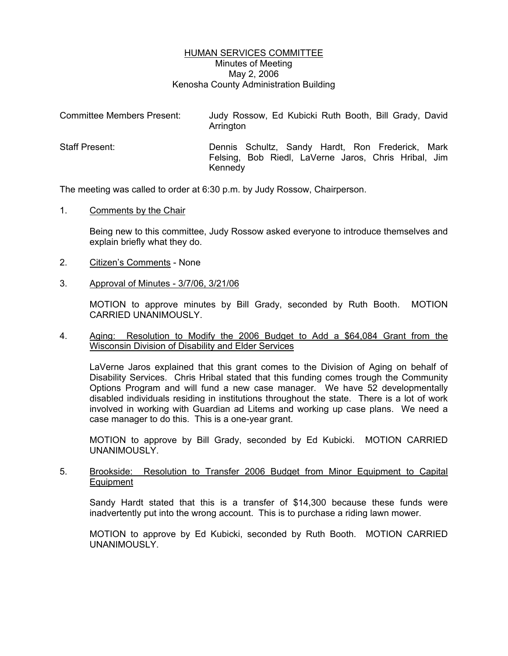# HUMAN SERVICES COMMITTEE Minutes of Meeting May 2, 2006 Kenosha County Administration Building

| Committee Members Present: | Judy Rossow, Ed Kubicki Ruth Booth, Bill Grady, David<br>Arrington                                                  |
|----------------------------|---------------------------------------------------------------------------------------------------------------------|
| <b>Staff Present:</b>      | Dennis Schultz, Sandy Hardt, Ron Frederick, Mark<br>Felsing, Bob Riedl, LaVerne Jaros, Chris Hribal, Jim<br>Kennedy |

The meeting was called to order at 6:30 p.m. by Judy Rossow, Chairperson.

1. Comments by the Chair

Being new to this committee, Judy Rossow asked everyone to introduce themselves and explain briefly what they do.

- 2. Citizen's Comments None
- 3. Approval of Minutes 3/7/06, 3/21/06

MOTION to approve minutes by Bill Grady, seconded by Ruth Booth. MOTION CARRIED UNANIMOUSLY.

# 4. Aging: Resolution to Modify the 2006 Budget to Add a \$64,084 Grant from the Wisconsin Division of Disability and Elder Services

LaVerne Jaros explained that this grant comes to the Division of Aging on behalf of Disability Services. Chris Hribal stated that this funding comes trough the Community Options Program and will fund a new case manager. We have 52 developmentally disabled individuals residing in institutions throughout the state. There is a lot of work involved in working with Guardian ad Litems and working up case plans. We need a case manager to do this. This is a one-year grant.

MOTION to approve by Bill Grady, seconded by Ed Kubicki. MOTION CARRIED UNANIMOUSLY.

### 5. Brookside: Resolution to Transfer 2006 Budget from Minor Equipment to Capital **Equipment**

Sandy Hardt stated that this is a transfer of \$14,300 because these funds were inadvertently put into the wrong account. This is to purchase a riding lawn mower.

MOTION to approve by Ed Kubicki, seconded by Ruth Booth. MOTION CARRIED UNANIMOUSLY.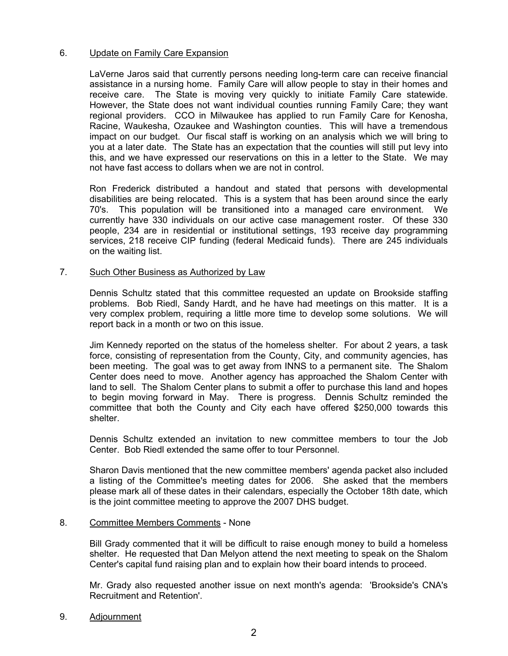# 6. Update on Family Care Expansion

LaVerne Jaros said that currently persons needing long-term care can receive financial assistance in a nursing home. Family Care will allow people to stay in their homes and receive care. The State is moving very quickly to initiate Family Care statewide. However, the State does not want individual counties running Family Care; they want regional providers. CCO in Milwaukee has applied to run Family Care for Kenosha, Racine, Waukesha, Ozaukee and Washington counties. This will have a tremendous impact on our budget. Our fiscal staff is working on an analysis which we will bring to you at a later date. The State has an expectation that the counties will still put levy into this, and we have expressed our reservations on this in a letter to the State. We may not have fast access to dollars when we are not in control.

Ron Frederick distributed a handout and stated that persons with developmental disabilities are being relocated. This is a system that has been around since the early 70's. This population will be transitioned into a managed care environment. We currently have 330 individuals on our active case management roster. Of these 330 people, 234 are in residential or institutional settings, 193 receive day programming services, 218 receive CIP funding (federal Medicaid funds). There are 245 individuals on the waiting list.

### 7. Such Other Business as Authorized by Law

Dennis Schultz stated that this committee requested an update on Brookside staffing problems. Bob Riedl, Sandy Hardt, and he have had meetings on this matter. It is a very complex problem, requiring a little more time to develop some solutions. We will report back in a month or two on this issue.

Jim Kennedy reported on the status of the homeless shelter. For about 2 years, a task force, consisting of representation from the County, City, and community agencies, has been meeting. The goal was to get away from INNS to a permanent site. The Shalom Center does need to move. Another agency has approached the Shalom Center with land to sell. The Shalom Center plans to submit a offer to purchase this land and hopes to begin moving forward in May. There is progress. Dennis Schultz reminded the committee that both the County and City each have offered \$250,000 towards this shelter.

Dennis Schultz extended an invitation to new committee members to tour the Job Center. Bob Riedl extended the same offer to tour Personnel.

Sharon Davis mentioned that the new committee members' agenda packet also included a listing of the Committee's meeting dates for 2006. She asked that the members please mark all of these dates in their calendars, especially the October 18th date, which is the joint committee meeting to approve the 2007 DHS budget.

### 8. Committee Members Comments - None

Bill Grady commented that it will be difficult to raise enough money to build a homeless shelter. He requested that Dan Melyon attend the next meeting to speak on the Shalom Center's capital fund raising plan and to explain how their board intends to proceed.

Mr. Grady also requested another issue on next month's agenda: 'Brookside's CNA's Recruitment and Retention'.

9. Adjournment